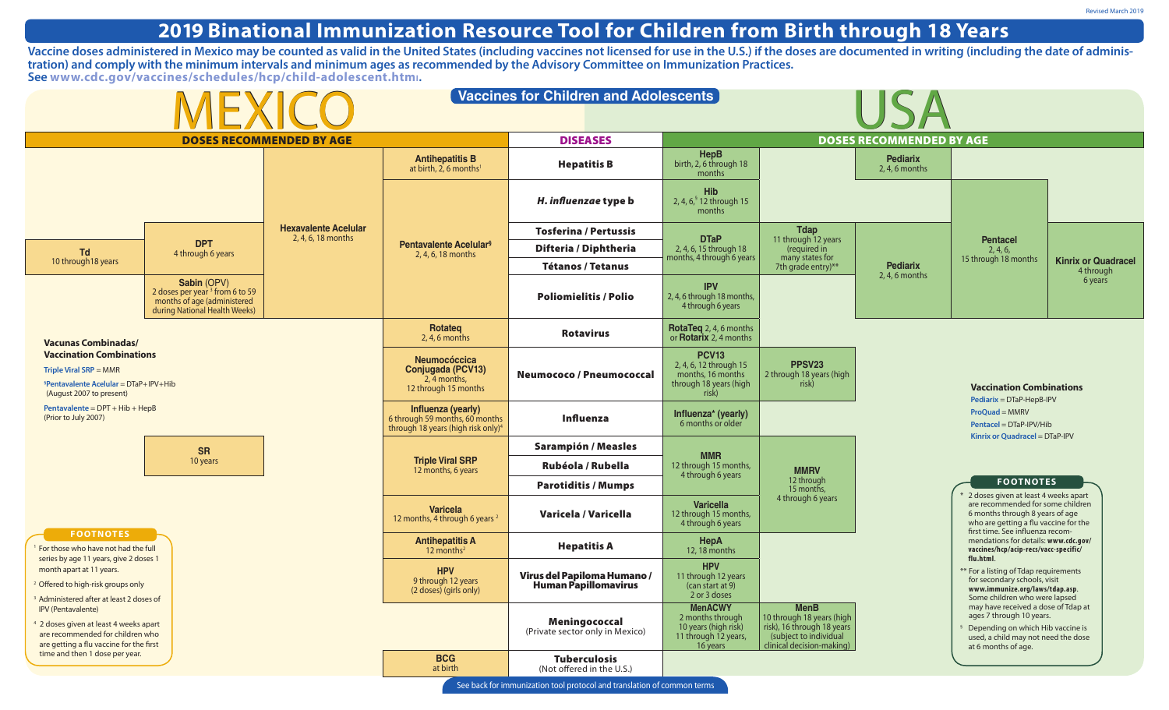## **2019 Binational Immunization Resource Tool for Children from Birth through 18 Years**

**Vaccine doses administered in Mexico may be counted as valid in the United States (including vaccines not licensed for use in the U.S.) if the doses are documented in writing (including the date of administration) and comply with the minimum intervals and minimum ages as recommended by the Advisory Committee on Immunization Practices. See [www.cdc.gov/vaccines/schedules/hcp/child-adolescent.htm](http://www.cdc.gov/vaccines/schedules/hcp/child-adolescent.html)<sup>l</sup>.**

| <b>DOSES RECOMMENDED BY AGE</b><br><b>DISEASES</b><br><b>DOSES RECOMMENDED BY AGE</b>                                                                                                                                                                                                                                                                                                                                                                                                                                                                                                                                      |                                         |
|----------------------------------------------------------------------------------------------------------------------------------------------------------------------------------------------------------------------------------------------------------------------------------------------------------------------------------------------------------------------------------------------------------------------------------------------------------------------------------------------------------------------------------------------------------------------------------------------------------------------------|-----------------------------------------|
| <b>HepB</b><br><b>Antihepatitis B</b><br><b>Pediarix</b><br>birth, 2, 6 through 18<br><b>Hepatitis B</b><br>at birth, $2, 6$ months <sup>1</sup><br>2, 4, 6 months<br>months                                                                                                                                                                                                                                                                                                                                                                                                                                               |                                         |
| <b>Hib</b><br>H. influenzae type b<br>2, 4, $65$ 12 through 15<br>months                                                                                                                                                                                                                                                                                                                                                                                                                                                                                                                                                   |                                         |
| <b>Hexavalente Acelular</b><br><b>Tdap</b><br><b>Tosferina / Pertussis</b><br>2, 4, 6, 18 months<br>11 through 12 years<br><b>DTaP</b>                                                                                                                                                                                                                                                                                                                                                                                                                                                                                     |                                         |
| <b>Pentacel</b><br><b>DPT</b><br><b>Pentavalente Acelulars</b><br>Difteria / Diphtheria<br>2, 4, 6, 15 through 18<br>(required in<br>2, 4, 6,<br><b>Td</b><br>4 through 6 years<br>2, 4, 6, 18 months                                                                                                                                                                                                                                                                                                                                                                                                                      |                                         |
| months, 4 through 6 years<br>many states for<br>15 through 18 months<br>10 through 18 years<br><b>Pediarix</b><br><b>Tétanos / Tetanus</b><br>7th grade entry)**                                                                                                                                                                                                                                                                                                                                                                                                                                                           | <b>Kinrix or Quadracel</b><br>4 through |
| $2, 4, 6$ months<br>Sabin (OPV)<br><b>IPV</b><br>2 doses per year <sup>3</sup> from 6 to 59<br><b>Poliomielitis / Polio</b><br>2, 4, 6 through 18 months,<br>months of age (administered<br>4 through 6 years<br>during National Health Weeks)                                                                                                                                                                                                                                                                                                                                                                             | 6 years                                 |
| <b>Rotateg</b><br>RotaTeq 2, 4, 6 months<br><b>Rotavirus</b><br>or <b>Rotarix</b> 2, 4 months<br>$2, 4, 6$ months<br><b>Vacunas Combinadas/</b>                                                                                                                                                                                                                                                                                                                                                                                                                                                                            |                                         |
| <b>Vaccination Combinations</b><br><b>PCV13</b><br>Neumocóccica<br>PPSV23<br>2, 4, 6, 12 through 15<br>Conjugada (PCV13)<br><b>Triple Viral SRP = MMR</b><br>Neumococo / Pneumococcal<br>2 through 18 years (high<br>months, 16 months<br>$2, 4$ months,<br><b><i>SPentavalente Acelular = DTaP+IPV+Hib</i></b><br>through 18 years (high<br>risk)<br><b>Vaccination Combinations</b><br>12 through 15 months<br>risk)<br>(August 2007 to present)<br>Pediarix = DTaP-HepB-IPV                                                                                                                                             |                                         |
| Pentavalente = $DPT + Hib + HepB$<br>Influenza (yearly)<br>ProQuad = MMRV<br>Influenza <sup>*</sup> (yearly)<br>(Prior to July 2007)<br>6 through 59 months, 60 months<br>Influenza<br>6 months or older<br>$Pentacel = DTaP-IPV/Hib$<br>through 18 years (high risk only) <sup>4</sup>                                                                                                                                                                                                                                                                                                                                    |                                         |
| Kinrix or Quadracel = DTaP-IPV<br><b>Sarampión / Measles</b><br><b>SR</b><br><b>MMR</b>                                                                                                                                                                                                                                                                                                                                                                                                                                                                                                                                    |                                         |
| <b>Triple Viral SRP</b><br>10 years<br>Rubéola / Rubella<br>12 through 15 months,<br><b>MMRV</b><br>12 months, 6 years<br>4 through 6 years                                                                                                                                                                                                                                                                                                                                                                                                                                                                                |                                         |
| 12 through<br><b>FOOTNOTES</b><br><b>Parotiditis / Mumps</b><br>15 months,                                                                                                                                                                                                                                                                                                                                                                                                                                                                                                                                                 |                                         |
| 2 doses given at least 4 weeks apart<br>4 through 6 years<br><b>Varicella</b><br>are recommended for some children<br>Varicela<br>6 months through 8 years of age<br>Varicela / Varicella<br>12 through 15 months,<br>12 months, 4 through 6 years <sup>2</sup><br>who are getting a flu vaccine for the<br>4 through 6 years<br>first time. See influenza recom-                                                                                                                                                                                                                                                          |                                         |
| <b>FOOTNOTES</b><br>mendations for details: www.cdc.gov/<br><b>Antihepatitis A</b><br>HepA<br><b>Hepatitis A</b><br>For those who have not had the full<br>vaccines/hcp/acip-recs/vacc-specific/<br>12 months $2$<br>12, 18 months<br>flu.html.                                                                                                                                                                                                                                                                                                                                                                            |                                         |
| series by age 11 years, give 2 doses 1<br><b>HPV</b><br>month apart at 11 years.<br>** For a listing of Tdap requirements<br><b>HPV</b><br>Virus del Papiloma Humano /<br>11 through 12 years<br>for secondary schools, visit<br>9 through 12 years<br><sup>2</sup> Offered to high-risk groups only<br><b>Human Papillomavirus</b><br>(can start at 9)<br>www.immunize.org/laws/tdap.asp.<br>(2 doses) (girls only)<br>2 or 3 doses<br>Some children who were lapsed<br><sup>3</sup> Administered after at least 2 doses of                                                                                               |                                         |
| <b>MenACWY</b><br>may have received a dose of Tdap at<br><b>MenB</b><br><b>IPV</b> (Pentavalente)<br>ages 7 through 10 years.<br>2 months through<br>10 through 18 years (high<br>Meningococcal<br><sup>4</sup> 2 doses given at least 4 weeks apart<br>risk), 16 through 18 years<br>10 years (high risk)<br>Depending on which Hib vaccine is<br>(Private sector only in Mexico)<br>are recommended for children who<br>(subject to individual<br>11 through 12 years,<br>used, a child may not need the dose<br>clinical decision-making)<br>are getting a flu vaccine for the first<br>16 years<br>at 6 months of age. |                                         |
| time and then 1 dose per year.<br><b>Tuberculosis</b><br><b>BCG</b><br>(Not offered in the U.S.)<br>at birth                                                                                                                                                                                                                                                                                                                                                                                                                                                                                                               |                                         |